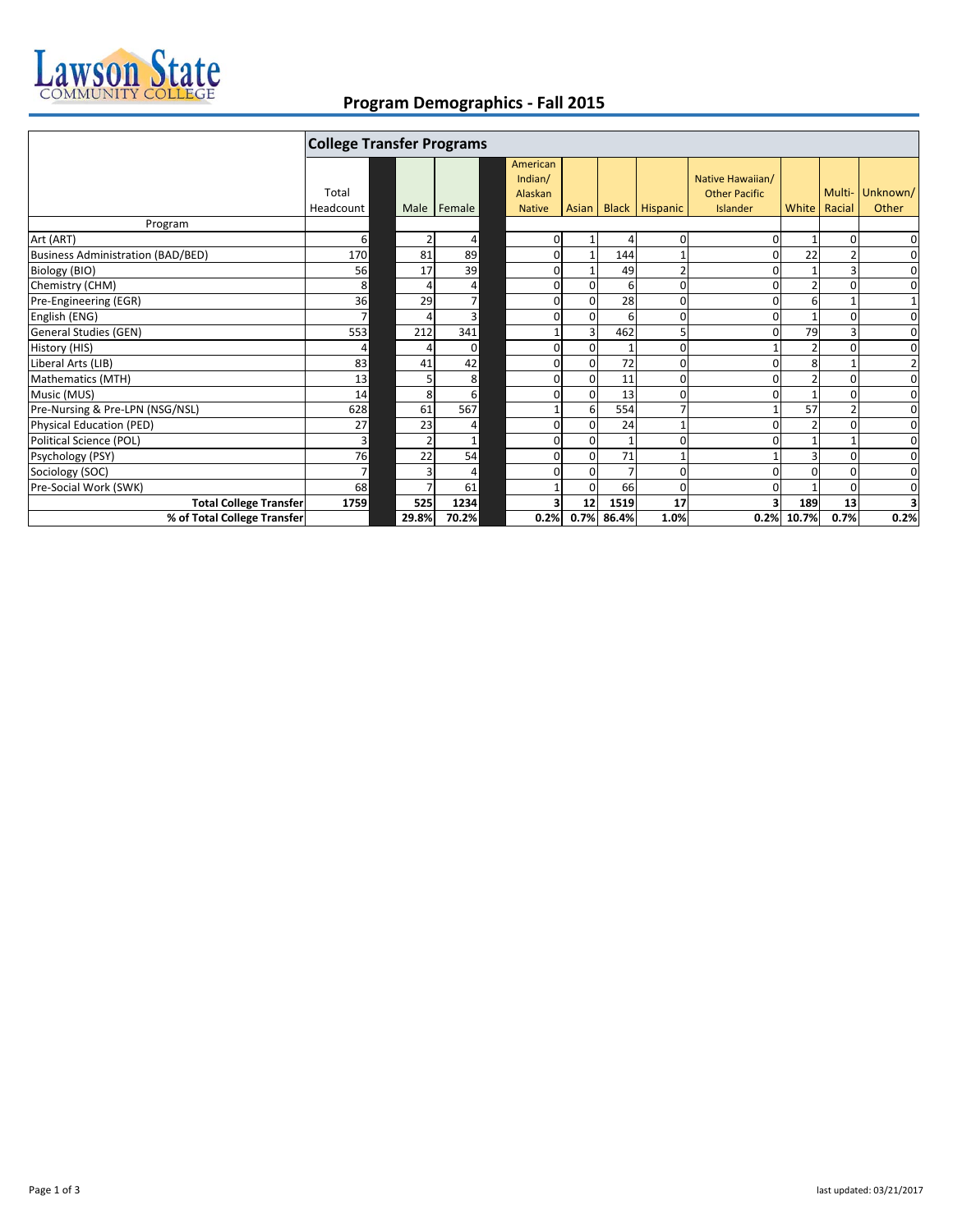

## **Program Demographics ‐ Fall 2015**

|                                   | <b>College Transfer Programs</b> |       |        |  |                                                 |          |                |                      |                                                      |       |                          |                   |
|-----------------------------------|----------------------------------|-------|--------|--|-------------------------------------------------|----------|----------------|----------------------|------------------------------------------------------|-------|--------------------------|-------------------|
|                                   | Total<br>Headcount               | Male  | Female |  | American<br>Indian/<br>Alaskan<br><b>Native</b> |          |                | Asian Black Hispanic | Native Hawaiian/<br><b>Other Pacific</b><br>Islander |       | Multi-<br>White   Racial | Unknown/<br>Other |
| Program                           |                                  |       |        |  |                                                 |          |                |                      |                                                      |       |                          |                   |
| Art (ART)                         | 6                                |       | 4      |  | 0                                               |          | 4              | 0                    |                                                      |       | O                        | 0                 |
| Business Administration (BAD/BED) | 170                              | 81    | 89     |  | 0                                               |          | 144            |                      |                                                      | 22    |                          | $\mathbf 0$       |
| Biology (BIO)                     | 56                               | 17    | 39     |  | 0                                               |          | 49             | 2                    |                                                      |       |                          | 0                 |
| Chemistry (CHM)                   | 8                                |       | 4      |  | 0                                               | $\Omega$ | 6              | 0                    |                                                      |       | O                        | $\mathbf 0$       |
| Pre-Engineering (EGR)             | 36                               | 29    | 7      |  | 0                                               | $\Omega$ | 28             | 0                    |                                                      | 6     |                          | $\mathbf 1$       |
| English (ENG)                     | $\overline{ }$                   |       | 3      |  | 0                                               | $\Omega$ | 6              | 0                    |                                                      |       |                          | $\mathbf 0$       |
| General Studies (GEN)             | 553                              | 212   | 341    |  |                                                 |          | 462            | 5                    |                                                      | 79    |                          | $\mathbf 0$       |
| History (HIS)                     | 4                                |       | 0      |  | $\mathbf{0}$                                    | $\Omega$ | $\mathbf{1}$   | $\Omega$             |                                                      | 2     | O                        | 0                 |
| Liberal Arts (LIB)                | 83                               | 41    | 42     |  | $\mathbf{0}$                                    | $\Omega$ | 72             | ŋ                    |                                                      | 8     |                          | $\overline{2}$    |
| Mathematics (MTH)                 | 13                               |       | 8      |  | 0                                               | $\Omega$ | 11             | 0                    |                                                      |       |                          | $\mathbf 0$       |
| Music (MUS)                       | 14                               | 8     | 6      |  | 0                                               | $\Omega$ | 13             | ŋ                    |                                                      |       |                          | $\mathbf 0$       |
| Pre-Nursing & Pre-LPN (NSG/NSL)   | 628                              | 61    | 567    |  |                                                 | 6        | 554            |                      |                                                      | 57    |                          | $\mathbf 0$       |
| Physical Education (PED)          | 27                               | 23    | 4      |  | $\Omega$                                        | $\Omega$ | 24             |                      |                                                      |       | O                        | $\mathbf 0$       |
| Political Science (POL)           | $\overline{3}$                   |       |        |  | $\Omega$                                        | $\Omega$ | $\mathbf{1}$   | 0                    |                                                      |       |                          | 0                 |
| Psychology (PSY)                  | 76                               | 22    | 54     |  | 0                                               | $\Omega$ | 71             |                      |                                                      |       |                          | $\mathbf 0$       |
| Sociology (SOC)                   | $\overline{7}$                   |       | 4      |  | 0                                               | $\Omega$ | $\overline{7}$ | 0                    |                                                      |       |                          | 0                 |
| Pre-Social Work (SWK)             | 68                               |       | 61     |  |                                                 | $\Omega$ | 66             | $\Omega$             |                                                      |       | $\Omega$                 | $\mathbf 0$       |
| <b>Total College Transfer</b>     | 1759                             | 525   | 1234   |  |                                                 | 12       | 1519           | 17                   |                                                      | 189   | 13                       | 3                 |
| % of Total College Transfer       |                                  | 29.8% | 70.2%  |  | 0.2%                                            | 0.7%     | 86.4%          | 1.0%                 | 0.2%                                                 | 10.7% | 0.7%                     | 0.2%              |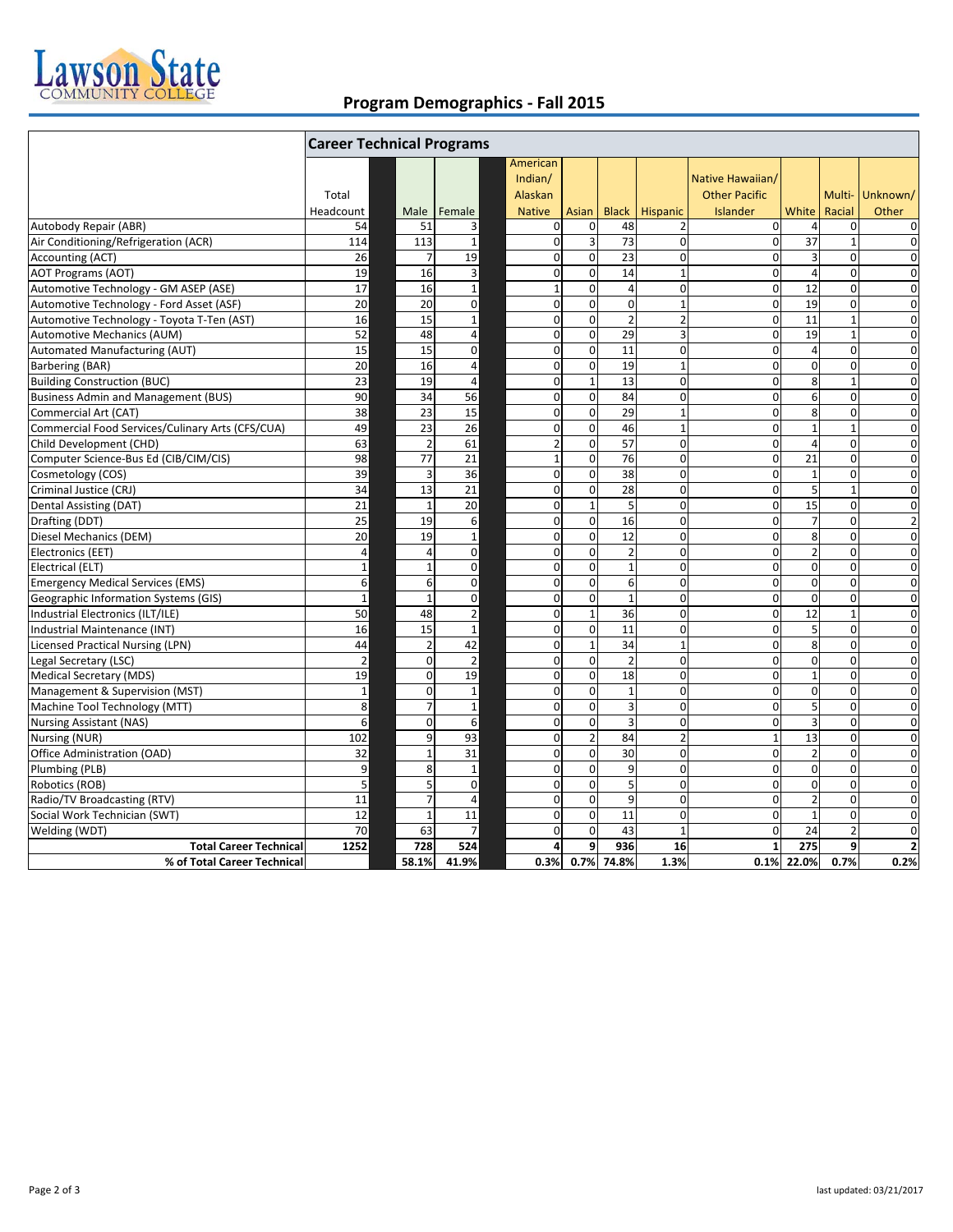

## **Program Demographics ‐ Fall 2015**

|                                       |                          |                | American       |                                  |                                                                                                                                                                                                                                                                                                                                                                                                                                                                                                                                                                                                                                        |                         |                      |                                                                                                                                                                                                                                                                                                                                                                                                                                                                                                                                                                                |                                                                                                                                                                                                                                                                                                                                                                                                                                                                                                                                                                                                                                                                                              |                                                                                                                                                                                                                                                                                                                                                                                                                                                                                                                                                                                                                                                                                                                                                                                                                      |
|---------------------------------------|--------------------------|----------------|----------------|----------------------------------|----------------------------------------------------------------------------------------------------------------------------------------------------------------------------------------------------------------------------------------------------------------------------------------------------------------------------------------------------------------------------------------------------------------------------------------------------------------------------------------------------------------------------------------------------------------------------------------------------------------------------------------|-------------------------|----------------------|--------------------------------------------------------------------------------------------------------------------------------------------------------------------------------------------------------------------------------------------------------------------------------------------------------------------------------------------------------------------------------------------------------------------------------------------------------------------------------------------------------------------------------------------------------------------------------|----------------------------------------------------------------------------------------------------------------------------------------------------------------------------------------------------------------------------------------------------------------------------------------------------------------------------------------------------------------------------------------------------------------------------------------------------------------------------------------------------------------------------------------------------------------------------------------------------------------------------------------------------------------------------------------------|----------------------------------------------------------------------------------------------------------------------------------------------------------------------------------------------------------------------------------------------------------------------------------------------------------------------------------------------------------------------------------------------------------------------------------------------------------------------------------------------------------------------------------------------------------------------------------------------------------------------------------------------------------------------------------------------------------------------------------------------------------------------------------------------------------------------|
|                                       |                          |                | Indian/        |                                  |                                                                                                                                                                                                                                                                                                                                                                                                                                                                                                                                                                                                                                        |                         | Native Hawaiian/     |                                                                                                                                                                                                                                                                                                                                                                                                                                                                                                                                                                                |                                                                                                                                                                                                                                                                                                                                                                                                                                                                                                                                                                                                                                                                                              |                                                                                                                                                                                                                                                                                                                                                                                                                                                                                                                                                                                                                                                                                                                                                                                                                      |
| Total                                 |                          |                | Alaskan        |                                  |                                                                                                                                                                                                                                                                                                                                                                                                                                                                                                                                                                                                                                        |                         | <b>Other Pacific</b> |                                                                                                                                                                                                                                                                                                                                                                                                                                                                                                                                                                                |                                                                                                                                                                                                                                                                                                                                                                                                                                                                                                                                                                                                                                                                                              | Multi-Unknown/                                                                                                                                                                                                                                                                                                                                                                                                                                                                                                                                                                                                                                                                                                                                                                                                       |
| Headcount                             | Male                     | Female         | <b>Native</b>  | Asian                            | <b>Black</b>                                                                                                                                                                                                                                                                                                                                                                                                                                                                                                                                                                                                                           | Hispanic                | Islander             | White                                                                                                                                                                                                                                                                                                                                                                                                                                                                                                                                                                          | Racial                                                                                                                                                                                                                                                                                                                                                                                                                                                                                                                                                                                                                                                                                       | Other                                                                                                                                                                                                                                                                                                                                                                                                                                                                                                                                                                                                                                                                                                                                                                                                                |
| 54                                    | 51                       | 3              |                | 0                                | 48                                                                                                                                                                                                                                                                                                                                                                                                                                                                                                                                                                                                                                     |                         |                      | $\overline{a}$                                                                                                                                                                                                                                                                                                                                                                                                                                                                                                                                                                 |                                                                                                                                                                                                                                                                                                                                                                                                                                                                                                                                                                                                                                                                                              | $\mathbf 0$                                                                                                                                                                                                                                                                                                                                                                                                                                                                                                                                                                                                                                                                                                                                                                                                          |
| 114                                   | 113                      | $\mathbf{1}$   |                | 3                                | 73                                                                                                                                                                                                                                                                                                                                                                                                                                                                                                                                                                                                                                     |                         |                      | $\overline{37}$                                                                                                                                                                                                                                                                                                                                                                                                                                                                                                                                                                |                                                                                                                                                                                                                                                                                                                                                                                                                                                                                                                                                                                                                                                                                              | $\mathbf 0$                                                                                                                                                                                                                                                                                                                                                                                                                                                                                                                                                                                                                                                                                                                                                                                                          |
| 26                                    | $\overline{7}$           | 19             |                | $\mathbf 0$                      | 23                                                                                                                                                                                                                                                                                                                                                                                                                                                                                                                                                                                                                                     |                         |                      |                                                                                                                                                                                                                                                                                                                                                                                                                                                                                                                                                                                |                                                                                                                                                                                                                                                                                                                                                                                                                                                                                                                                                                                                                                                                                              | $\mathbf 0$                                                                                                                                                                                                                                                                                                                                                                                                                                                                                                                                                                                                                                                                                                                                                                                                          |
| 19                                    | 16                       | $\mathsf 3$    |                | $\Omega$                         | 14                                                                                                                                                                                                                                                                                                                                                                                                                                                                                                                                                                                                                                     |                         |                      |                                                                                                                                                                                                                                                                                                                                                                                                                                                                                                                                                                                |                                                                                                                                                                                                                                                                                                                                                                                                                                                                                                                                                                                                                                                                                              | $\overline{0}$                                                                                                                                                                                                                                                                                                                                                                                                                                                                                                                                                                                                                                                                                                                                                                                                       |
| 17                                    | 16                       | $\mathbf{1}$   | $\mathbf{1}$   | $\mathbf 0$                      | $\overline{4}$                                                                                                                                                                                                                                                                                                                                                                                                                                                                                                                                                                                                                         |                         |                      | 12                                                                                                                                                                                                                                                                                                                                                                                                                                                                                                                                                                             |                                                                                                                                                                                                                                                                                                                                                                                                                                                                                                                                                                                                                                                                                              | $\mathbf 0$                                                                                                                                                                                                                                                                                                                                                                                                                                                                                                                                                                                                                                                                                                                                                                                                          |
| 20                                    | 20                       | $\mathbf 0$    |                | $\mathbf 0$                      | $\mathbf 0$                                                                                                                                                                                                                                                                                                                                                                                                                                                                                                                                                                                                                            |                         |                      | 19                                                                                                                                                                                                                                                                                                                                                                                                                                                                                                                                                                             |                                                                                                                                                                                                                                                                                                                                                                                                                                                                                                                                                                                                                                                                                              | $\mathbf 0$                                                                                                                                                                                                                                                                                                                                                                                                                                                                                                                                                                                                                                                                                                                                                                                                          |
| 16                                    | 15                       | $\mathbf{1}$   |                | $\mathbf 0$                      | $\overline{2}$                                                                                                                                                                                                                                                                                                                                                                                                                                                                                                                                                                                                                         |                         |                      | 11                                                                                                                                                                                                                                                                                                                                                                                                                                                                                                                                                                             | $\mathbf{1}$                                                                                                                                                                                                                                                                                                                                                                                                                                                                                                                                                                                                                                                                                 | $\mathbf 0$                                                                                                                                                                                                                                                                                                                                                                                                                                                                                                                                                                                                                                                                                                                                                                                                          |
| 52                                    | 48                       | 4              |                | $\mathbf 0$                      | 29                                                                                                                                                                                                                                                                                                                                                                                                                                                                                                                                                                                                                                     |                         |                      | 19                                                                                                                                                                                                                                                                                                                                                                                                                                                                                                                                                                             | $\mathbf{1}$                                                                                                                                                                                                                                                                                                                                                                                                                                                                                                                                                                                                                                                                                 | $\overline{0}$                                                                                                                                                                                                                                                                                                                                                                                                                                                                                                                                                                                                                                                                                                                                                                                                       |
| 15                                    | 15                       | 0              |                | $\boldsymbol{0}$                 | 11                                                                                                                                                                                                                                                                                                                                                                                                                                                                                                                                                                                                                                     |                         |                      |                                                                                                                                                                                                                                                                                                                                                                                                                                                                                                                                                                                |                                                                                                                                                                                                                                                                                                                                                                                                                                                                                                                                                                                                                                                                                              | $\mathbf 0$                                                                                                                                                                                                                                                                                                                                                                                                                                                                                                                                                                                                                                                                                                                                                                                                          |
| 20                                    | 16                       | $\overline{4}$ |                | $\mathbf 0$                      | 19                                                                                                                                                                                                                                                                                                                                                                                                                                                                                                                                                                                                                                     |                         |                      |                                                                                                                                                                                                                                                                                                                                                                                                                                                                                                                                                                                |                                                                                                                                                                                                                                                                                                                                                                                                                                                                                                                                                                                                                                                                                              | $\mathbf 0$                                                                                                                                                                                                                                                                                                                                                                                                                                                                                                                                                                                                                                                                                                                                                                                                          |
| 23                                    | 19                       | $\overline{4}$ |                | $\mathbf 1$                      | 13                                                                                                                                                                                                                                                                                                                                                                                                                                                                                                                                                                                                                                     |                         |                      |                                                                                                                                                                                                                                                                                                                                                                                                                                                                                                                                                                                | $\mathbf{1}$                                                                                                                                                                                                                                                                                                                                                                                                                                                                                                                                                                                                                                                                                 | $\mathbf 0$                                                                                                                                                                                                                                                                                                                                                                                                                                                                                                                                                                                                                                                                                                                                                                                                          |
| 90                                    | 34                       | 56             |                | $\mathbf 0$                      | 84                                                                                                                                                                                                                                                                                                                                                                                                                                                                                                                                                                                                                                     |                         |                      |                                                                                                                                                                                                                                                                                                                                                                                                                                                                                                                                                                                |                                                                                                                                                                                                                                                                                                                                                                                                                                                                                                                                                                                                                                                                                              | $\mathbf 0$                                                                                                                                                                                                                                                                                                                                                                                                                                                                                                                                                                                                                                                                                                                                                                                                          |
| 38                                    | 23                       | 15             |                | $\mathbf 0$                      | 29                                                                                                                                                                                                                                                                                                                                                                                                                                                                                                                                                                                                                                     |                         |                      |                                                                                                                                                                                                                                                                                                                                                                                                                                                                                                                                                                                |                                                                                                                                                                                                                                                                                                                                                                                                                                                                                                                                                                                                                                                                                              | $\mathbf 0$                                                                                                                                                                                                                                                                                                                                                                                                                                                                                                                                                                                                                                                                                                                                                                                                          |
| 49                                    | 23                       | 26             |                | $\mathbf 0$                      | 46                                                                                                                                                                                                                                                                                                                                                                                                                                                                                                                                                                                                                                     |                         |                      | $\mathbf 1$                                                                                                                                                                                                                                                                                                                                                                                                                                                                                                                                                                    |                                                                                                                                                                                                                                                                                                                                                                                                                                                                                                                                                                                                                                                                                              | $\mathbf 0$                                                                                                                                                                                                                                                                                                                                                                                                                                                                                                                                                                                                                                                                                                                                                                                                          |
|                                       | $\overline{\phantom{a}}$ | 61             |                | $\mathbf 0$                      | 57                                                                                                                                                                                                                                                                                                                                                                                                                                                                                                                                                                                                                                     |                         |                      | $\overline{4}$                                                                                                                                                                                                                                                                                                                                                                                                                                                                                                                                                                 |                                                                                                                                                                                                                                                                                                                                                                                                                                                                                                                                                                                                                                                                                              | $\mathbf 0$                                                                                                                                                                                                                                                                                                                                                                                                                                                                                                                                                                                                                                                                                                                                                                                                          |
| 98                                    | 77                       | 21             |                | $\mathbf 0$                      | 76                                                                                                                                                                                                                                                                                                                                                                                                                                                                                                                                                                                                                                     |                         |                      | 21                                                                                                                                                                                                                                                                                                                                                                                                                                                                                                                                                                             |                                                                                                                                                                                                                                                                                                                                                                                                                                                                                                                                                                                                                                                                                              | $\mathbf 0$                                                                                                                                                                                                                                                                                                                                                                                                                                                                                                                                                                                                                                                                                                                                                                                                          |
| 39                                    | $\overline{3}$           | 36             |                | $\mathbf 0$                      | 38                                                                                                                                                                                                                                                                                                                                                                                                                                                                                                                                                                                                                                     |                         |                      | $\mathbf{1}$                                                                                                                                                                                                                                                                                                                                                                                                                                                                                                                                                                   |                                                                                                                                                                                                                                                                                                                                                                                                                                                                                                                                                                                                                                                                                              | $\mathbf 0$                                                                                                                                                                                                                                                                                                                                                                                                                                                                                                                                                                                                                                                                                                                                                                                                          |
| 34                                    | 13                       | 21             |                | $\mathbf 0$                      | 28                                                                                                                                                                                                                                                                                                                                                                                                                                                                                                                                                                                                                                     |                         |                      |                                                                                                                                                                                                                                                                                                                                                                                                                                                                                                                                                                                | $\mathbf{1}$                                                                                                                                                                                                                                                                                                                                                                                                                                                                                                                                                                                                                                                                                 | $\mathbf 0$                                                                                                                                                                                                                                                                                                                                                                                                                                                                                                                                                                                                                                                                                                                                                                                                          |
| 21                                    | $\mathbf{1}$             | 20             |                | $\mathbf 1$                      | 5                                                                                                                                                                                                                                                                                                                                                                                                                                                                                                                                                                                                                                      |                         |                      | 15                                                                                                                                                                                                                                                                                                                                                                                                                                                                                                                                                                             |                                                                                                                                                                                                                                                                                                                                                                                                                                                                                                                                                                                                                                                                                              | $\mathbf 0$                                                                                                                                                                                                                                                                                                                                                                                                                                                                                                                                                                                                                                                                                                                                                                                                          |
| 25                                    | 19                       | 6              |                | $\mathbf 0$                      | 16                                                                                                                                                                                                                                                                                                                                                                                                                                                                                                                                                                                                                                     |                         |                      | $\overline{7}$                                                                                                                                                                                                                                                                                                                                                                                                                                                                                                                                                                 |                                                                                                                                                                                                                                                                                                                                                                                                                                                                                                                                                                                                                                                                                              | $\overline{2}$                                                                                                                                                                                                                                                                                                                                                                                                                                                                                                                                                                                                                                                                                                                                                                                                       |
| 20                                    | 19                       | $\mathbf{1}$   |                | $\mathbf 0$                      | 12                                                                                                                                                                                                                                                                                                                                                                                                                                                                                                                                                                                                                                     |                         |                      |                                                                                                                                                                                                                                                                                                                                                                                                                                                                                                                                                                                |                                                                                                                                                                                                                                                                                                                                                                                                                                                                                                                                                                                                                                                                                              | $\mathbf 0$                                                                                                                                                                                                                                                                                                                                                                                                                                                                                                                                                                                                                                                                                                                                                                                                          |
| $\overline{4}$                        | $\overline{a}$           | $\mathbf 0$    |                | $\mathbf 0$                      | $\overline{2}$                                                                                                                                                                                                                                                                                                                                                                                                                                                                                                                                                                                                                         |                         |                      |                                                                                                                                                                                                                                                                                                                                                                                                                                                                                                                                                                                |                                                                                                                                                                                                                                                                                                                                                                                                                                                                                                                                                                                                                                                                                              | $\mathbf 0$                                                                                                                                                                                                                                                                                                                                                                                                                                                                                                                                                                                                                                                                                                                                                                                                          |
| $1\,$                                 | $\overline{1}$           | 0              |                | $\mathbf 0$                      | $\mathbf{1}$                                                                                                                                                                                                                                                                                                                                                                                                                                                                                                                                                                                                                           |                         |                      |                                                                                                                                                                                                                                                                                                                                                                                                                                                                                                                                                                                |                                                                                                                                                                                                                                                                                                                                                                                                                                                                                                                                                                                                                                                                                              | $\mathbf 0$                                                                                                                                                                                                                                                                                                                                                                                                                                                                                                                                                                                                                                                                                                                                                                                                          |
| 6                                     | 6                        | $\mathbf 0$    |                | $\mathbf 0$                      | 6                                                                                                                                                                                                                                                                                                                                                                                                                                                                                                                                                                                                                                      |                         |                      |                                                                                                                                                                                                                                                                                                                                                                                                                                                                                                                                                                                |                                                                                                                                                                                                                                                                                                                                                                                                                                                                                                                                                                                                                                                                                              | $\mathbf 0$                                                                                                                                                                                                                                                                                                                                                                                                                                                                                                                                                                                                                                                                                                                                                                                                          |
| $\mathbf{1}$                          | $\overline{1}$           | $\mathbf 0$    |                | $\mathbf 0$                      | $\mathbf{1}$                                                                                                                                                                                                                                                                                                                                                                                                                                                                                                                                                                                                                           |                         |                      |                                                                                                                                                                                                                                                                                                                                                                                                                                                                                                                                                                                |                                                                                                                                                                                                                                                                                                                                                                                                                                                                                                                                                                                                                                                                                              | $\mathbf 0$                                                                                                                                                                                                                                                                                                                                                                                                                                                                                                                                                                                                                                                                                                                                                                                                          |
| 50                                    | 48                       |                |                | $\mathbf{1}$                     |                                                                                                                                                                                                                                                                                                                                                                                                                                                                                                                                                                                                                                        |                         |                      | 12                                                                                                                                                                                                                                                                                                                                                                                                                                                                                                                                                                             | $\mathbf{1}$                                                                                                                                                                                                                                                                                                                                                                                                                                                                                                                                                                                                                                                                                 | $\mathbf 0$                                                                                                                                                                                                                                                                                                                                                                                                                                                                                                                                                                                                                                                                                                                                                                                                          |
| 16                                    | 15                       | $\mathbf{1}$   |                | $\mathbf 0$                      | 11                                                                                                                                                                                                                                                                                                                                                                                                                                                                                                                                                                                                                                     |                         |                      |                                                                                                                                                                                                                                                                                                                                                                                                                                                                                                                                                                                |                                                                                                                                                                                                                                                                                                                                                                                                                                                                                                                                                                                                                                                                                              | $\mathbf 0$                                                                                                                                                                                                                                                                                                                                                                                                                                                                                                                                                                                                                                                                                                                                                                                                          |
| 44                                    | $\overline{2}$           | 42             |                | $\mathbf 1$                      | 34                                                                                                                                                                                                                                                                                                                                                                                                                                                                                                                                                                                                                                     |                         |                      |                                                                                                                                                                                                                                                                                                                                                                                                                                                                                                                                                                                |                                                                                                                                                                                                                                                                                                                                                                                                                                                                                                                                                                                                                                                                                              | $\mathbf 0$                                                                                                                                                                                                                                                                                                                                                                                                                                                                                                                                                                                                                                                                                                                                                                                                          |
| $\overline{2}$                        | $\Omega$                 | $\overline{2}$ |                | $\mathbf 0$                      | $\overline{2}$                                                                                                                                                                                                                                                                                                                                                                                                                                                                                                                                                                                                                         |                         |                      |                                                                                                                                                                                                                                                                                                                                                                                                                                                                                                                                                                                |                                                                                                                                                                                                                                                                                                                                                                                                                                                                                                                                                                                                                                                                                              | $\mathbf 0$                                                                                                                                                                                                                                                                                                                                                                                                                                                                                                                                                                                                                                                                                                                                                                                                          |
| 19                                    | $\Omega$                 | 19             |                | $\mathbf 0$                      | 18                                                                                                                                                                                                                                                                                                                                                                                                                                                                                                                                                                                                                                     |                         |                      |                                                                                                                                                                                                                                                                                                                                                                                                                                                                                                                                                                                |                                                                                                                                                                                                                                                                                                                                                                                                                                                                                                                                                                                                                                                                                              | $\mathbf 0$                                                                                                                                                                                                                                                                                                                                                                                                                                                                                                                                                                                                                                                                                                                                                                                                          |
| $\mathbf{1}$                          | $\Omega$                 | $\mathbf{1}$   |                | $\mathbf 0$                      | $\mathbf{1}$                                                                                                                                                                                                                                                                                                                                                                                                                                                                                                                                                                                                                           |                         |                      |                                                                                                                                                                                                                                                                                                                                                                                                                                                                                                                                                                                |                                                                                                                                                                                                                                                                                                                                                                                                                                                                                                                                                                                                                                                                                              | $\mathbf 0$                                                                                                                                                                                                                                                                                                                                                                                                                                                                                                                                                                                                                                                                                                                                                                                                          |
| 8                                     | $\overline{7}$           | $\mathbf{1}$   |                | $\mathbf 0$                      | $\overline{3}$                                                                                                                                                                                                                                                                                                                                                                                                                                                                                                                                                                                                                         |                         |                      |                                                                                                                                                                                                                                                                                                                                                                                                                                                                                                                                                                                |                                                                                                                                                                                                                                                                                                                                                                                                                                                                                                                                                                                                                                                                                              | $\mathbf 0$                                                                                                                                                                                                                                                                                                                                                                                                                                                                                                                                                                                                                                                                                                                                                                                                          |
| 6                                     | $\Omega$                 | 6              |                | $\mathbf 0$                      | $\overline{3}$                                                                                                                                                                                                                                                                                                                                                                                                                                                                                                                                                                                                                         |                         |                      | 3                                                                                                                                                                                                                                                                                                                                                                                                                                                                                                                                                                              |                                                                                                                                                                                                                                                                                                                                                                                                                                                                                                                                                                                                                                                                                              | $\overline{0}$                                                                                                                                                                                                                                                                                                                                                                                                                                                                                                                                                                                                                                                                                                                                                                                                       |
| 102                                   | 9                        | 93             |                | $\overline{2}$                   | 84                                                                                                                                                                                                                                                                                                                                                                                                                                                                                                                                                                                                                                     |                         |                      |                                                                                                                                                                                                                                                                                                                                                                                                                                                                                                                                                                                |                                                                                                                                                                                                                                                                                                                                                                                                                                                                                                                                                                                                                                                                                              | $\mathbf 0$                                                                                                                                                                                                                                                                                                                                                                                                                                                                                                                                                                                                                                                                                                                                                                                                          |
| 32                                    | $\overline{1}$           | 31             |                | $\mathbf 0$                      | 30                                                                                                                                                                                                                                                                                                                                                                                                                                                                                                                                                                                                                                     |                         |                      |                                                                                                                                                                                                                                                                                                                                                                                                                                                                                                                                                                                |                                                                                                                                                                                                                                                                                                                                                                                                                                                                                                                                                                                                                                                                                              | $\mathbf 0$                                                                                                                                                                                                                                                                                                                                                                                                                                                                                                                                                                                                                                                                                                                                                                                                          |
| 9                                     | 8                        | $\mathbf{1}$   |                | $\mathbf 0$                      | 9                                                                                                                                                                                                                                                                                                                                                                                                                                                                                                                                                                                                                                      |                         |                      |                                                                                                                                                                                                                                                                                                                                                                                                                                                                                                                                                                                |                                                                                                                                                                                                                                                                                                                                                                                                                                                                                                                                                                                                                                                                                              | $\mathbf 0$                                                                                                                                                                                                                                                                                                                                                                                                                                                                                                                                                                                                                                                                                                                                                                                                          |
| 5                                     | 5                        | $\mathbf 0$    |                | $\mathbf 0$                      | 5                                                                                                                                                                                                                                                                                                                                                                                                                                                                                                                                                                                                                                      |                         |                      |                                                                                                                                                                                                                                                                                                                                                                                                                                                                                                                                                                                |                                                                                                                                                                                                                                                                                                                                                                                                                                                                                                                                                                                                                                                                                              | $\mathbf 0$                                                                                                                                                                                                                                                                                                                                                                                                                                                                                                                                                                                                                                                                                                                                                                                                          |
| 11                                    | $\overline{7}$           | $\overline{4}$ |                | $\mathbf 0$                      | 9                                                                                                                                                                                                                                                                                                                                                                                                                                                                                                                                                                                                                                      |                         |                      |                                                                                                                                                                                                                                                                                                                                                                                                                                                                                                                                                                                |                                                                                                                                                                                                                                                                                                                                                                                                                                                                                                                                                                                                                                                                                              | $\mathbf 0$                                                                                                                                                                                                                                                                                                                                                                                                                                                                                                                                                                                                                                                                                                                                                                                                          |
| 12                                    | $\mathbf{1}$             | 11             |                | $\mathbf 0$                      | 11                                                                                                                                                                                                                                                                                                                                                                                                                                                                                                                                                                                                                                     |                         |                      | $\mathbf 1$                                                                                                                                                                                                                                                                                                                                                                                                                                                                                                                                                                    |                                                                                                                                                                                                                                                                                                                                                                                                                                                                                                                                                                                                                                                                                              | $\mathbf 0$                                                                                                                                                                                                                                                                                                                                                                                                                                                                                                                                                                                                                                                                                                                                                                                                          |
| 70                                    | 63                       | $\overline{7}$ |                | $\Omega$                         | 43                                                                                                                                                                                                                                                                                                                                                                                                                                                                                                                                                                                                                                     | $\mathbf{1}$            |                      | 24                                                                                                                                                                                                                                                                                                                                                                                                                                                                                                                                                                             |                                                                                                                                                                                                                                                                                                                                                                                                                                                                                                                                                                                                                                                                                              | $\mathbf 0$                                                                                                                                                                                                                                                                                                                                                                                                                                                                                                                                                                                                                                                                                                                                                                                                          |
| <b>Total Career Technical</b><br>1252 | 728                      | 524            |                | 9                                | 936                                                                                                                                                                                                                                                                                                                                                                                                                                                                                                                                                                                                                                    |                         |                      | 275                                                                                                                                                                                                                                                                                                                                                                                                                                                                                                                                                                            |                                                                                                                                                                                                                                                                                                                                                                                                                                                                                                                                                                                                                                                                                              | $\overline{\mathbf{2}}$                                                                                                                                                                                                                                                                                                                                                                                                                                                                                                                                                                                                                                                                                                                                                                                              |
| % of Total Career Technical           | 58.1%                    | 41.9%          |                |                                  | 74.8%                                                                                                                                                                                                                                                                                                                                                                                                                                                                                                                                                                                                                                  |                         |                      |                                                                                                                                                                                                                                                                                                                                                                                                                                                                                                                                                                                |                                                                                                                                                                                                                                                                                                                                                                                                                                                                                                                                                                                                                                                                                              | 0.2%                                                                                                                                                                                                                                                                                                                                                                                                                                                                                                                                                                                                                                                                                                                                                                                                                 |
|                                       | 63                       |                | $\overline{2}$ | <b>Career Technical Programs</b> | $\mathbf 0$<br>$\mathbf 0$<br>$\mathbf 0$<br>$\Omega$<br>$\mathbf 0$<br>$\mathbf 0$<br>$\mathbf 0$<br>$\mathbf 0$<br>$\mathbf 0$<br>$\mathbf 0$<br>$\mathbf 0$<br>$\mathbf 0$<br>$\mathbf 0$<br>$\mathbf 2$<br>$\mathbf{1}$<br>$\mathbf 0$<br>$\mathbf 0$<br>$\mathbf 0$<br>$\mathbf 0$<br>$\mathbf 0$<br>$\mathbf 0$<br>$\mathbf 0$<br>$\mathbf 0$<br>$\mathbf 0$<br>$\mathbf 0$<br>$\mathbf 0$<br>$\mathbf 0$<br>$\mathbf 0$<br>$\mathbf 0$<br>$\mathbf 0$<br>$\mathbf 0$<br>$\mathbf 0$<br>$\mathbf 0$<br>$\mathbf 0$<br>$\mathbf 0$<br>$\mathbf 0$<br>$\mathbf 0$<br>$\mathbf 0$<br>$\mathbf 0$<br>$\overline{\mathbf{4}}$<br>0.3% | $\overline{36}$<br>0.7% |                      | $\overline{2}$<br>$\mathbf 0$<br>$\mathbf 0$<br>$\mathbf{1}$<br>$\mathbf 0$<br>$\mathbf{1}$<br>$\overline{2}$<br>3<br>$\mathbf 0$<br>$\mathbf{1}$<br>0<br>$\mathbf 0$<br>$\mathbf{1}$<br>$\mathbf{1}$<br>$\mathbf 0$<br>$\mathbf 0$<br>$\mathbf 0$<br>$\Omega$<br>$\mathbf 0$<br>0<br>$\mathbf 0$<br>$\mathbf 0$<br>0<br>$\mathbf 0$<br>$\mathbf 0$<br>$\mathbf 0$<br>$\mathbf 0$<br>$\mathbf{1}$<br>$\Omega$<br>$\mathbf 0$<br>$\mathbf 0$<br>$\mathbf 0$<br>$\mathbf 0$<br>$\overline{2}$<br>$\Omega$<br>$\Omega$<br>$\mathbf 0$<br>$\mathbf 0$<br>$\mathbf 0$<br>16<br>1.3% | $\mathbf{0}$<br>$\overline{0}$<br>$\overline{0}$<br>$\Omega$<br>$\overline{0}$<br>$\overline{0}$<br>$\Omega$<br>$\mathbf{0}$<br>$\mathbf{0}$<br>$\overline{0}$<br>$\overline{0}$<br>$\overline{0}$<br>$\Omega$<br>$\mathbf{0}$<br>$\Omega$<br>$\overline{0}$<br>$\mathbf{0}$<br>$\Omega$<br>$\overline{0}$<br>$\overline{0}$<br>$\Omega$<br>$\Omega$<br>$\overline{0}$<br>$\Omega$<br>$\overline{0}$<br>$\overline{0}$<br>$\overline{0}$<br>$\overline{0}$<br>$\Omega$<br>$\Omega$<br>$\overline{0}$<br>$\overline{5}$<br>$\Omega$<br>$\overline{0}$<br>$\mathbf{1}$<br>$\Omega$<br>$\overline{0}$<br>$\overline{0}$<br>$\overline{0}$<br>$\Omega$<br>$\Omega$<br>$\mathbf{1}$<br>0.1% 22.0% | $\mathbf 0$<br>$\mathbf{1}$<br>3<br>$\mathbf{0}$<br>$\overline{4}$<br>$\Omega$<br>$\mathbf 0$<br>$\mathbf 0$<br>4<br>$\mathbf 0$<br>$\mathbf 0$<br>$\mathbf 0$<br>8<br>$\boldsymbol{6}$<br>$\overline{0}$<br>8<br>$\mathbf 0$<br>$\mathbf{1}$<br>$\Omega$<br>$\mathbf 0$<br>$\mathbf 0$<br>5<br>$\mathbf 0$<br>$\mathbf{0}$<br>8<br>$\Omega$<br>$\overline{2}$<br>$\Omega$<br>$\mathbf 0$<br>0<br>$\mathbf 0$<br>$\mathbf 0$<br>$\mathbf 0$<br>$\mathbf 0$<br>5<br>$\mathbf 0$<br>8<br>$\mathbf 0$<br>$\mathbf 0$<br>$\Omega$<br>$\mathbf 1$<br>$\mathbf 0$<br>$\mathbf 0$<br>$\mathbf 0$<br>$\mathbf 0$<br>$\mathbf 0$<br>13<br>$\mathbf 0$<br>$\overline{2}$<br>$\Omega$<br>$\mathbf 0$<br>$\mathbf 0$<br>$\pmb{0}$<br>$\mathbf{0}$<br>$\overline{2}$<br>$\mathbf 0$<br>$\mathbf 0$<br>$\overline{2}$<br>9<br>0.7% |